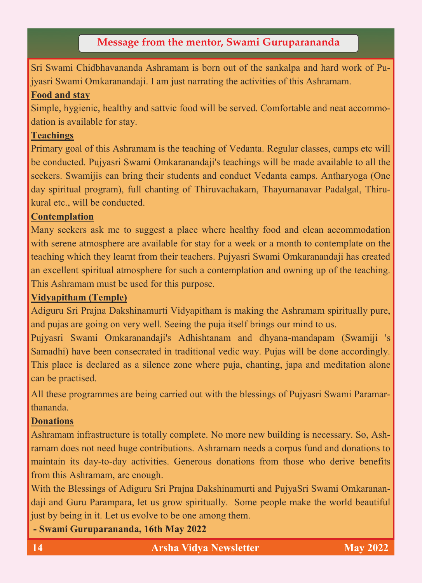# **Message from the mentor, Swami Guruparananda**

Sri Swami Chidbhavananda Ashramam is born out of the sankalpa and hard work of Pujyasri Swami Omkaranandaji. I am just narrating the activities of this Ashramam.

#### **Food and stay**

Simple, hygienic, healthy and sattvic food will be served. Comfortable and neat accommodation is available for stay.

#### **Teachings**

Primary goal of this Ashramam is the teaching of Vedanta. Regular classes, camps etc will be conducted. Pujyasri Swami Omkaranandaji's teachings will be made available to all the seekers. Swamijis can bring their students and conduct Vedanta camps. Antharyoga (One day spiritual program), full chanting of Thiruvachakam, Thayumanavar Padalgal, Thirukural etc., will be conducted.

## **Contemplation**

Many seekers ask me to suggest a place where healthy food and clean accommodation with serene atmosphere are available for stay for a week or a month to contemplate on the teaching which they learnt from their teachers. Pujyasri Swami Omkaranandaji has created an excellent spiritual atmosphere for such a contemplation and owning up of the teaching. This Ashramam must be used for this purpose.

## **Vidyapitham (Temple)**

Adiguru Sri Prajna Dakshinamurti Vidyapitham is making the Ashramam spiritually pure, and pujas are going on very well. Seeing the puja itself brings our mind to us.

Pujyasri Swami Omkaranandaji's Adhishtanam and dhyana-mandapam (Swamiji 's Samadhi) have been consecrated in traditional vedic way. Pujas will be done accordingly. This place is declared as a silence zone where puja, chanting, japa and meditation alone can be practised.

All these programmes are being carried out with the blessings of Pujyasri Swami Paramarthananda.

## **Donations**

Ashramam infrastructure is totally complete. No more new building is necessary. So, Ashramam does not need huge contributions. Ashramam needs a corpus fund and donations to maintain its day-to-day activities. Generous donations from those who derive benefits from this Ashramam, are enough.

With the Blessings of Adiguru Sri Prajna Dakshinamurti and PujyaSri Swami Omkaranandaji and Guru Parampara, let us grow spiritually. Some people make the world beautiful just by being in it. Let us evolve to be one among them.

**- Swami Guruparananda, 16th May 2022**